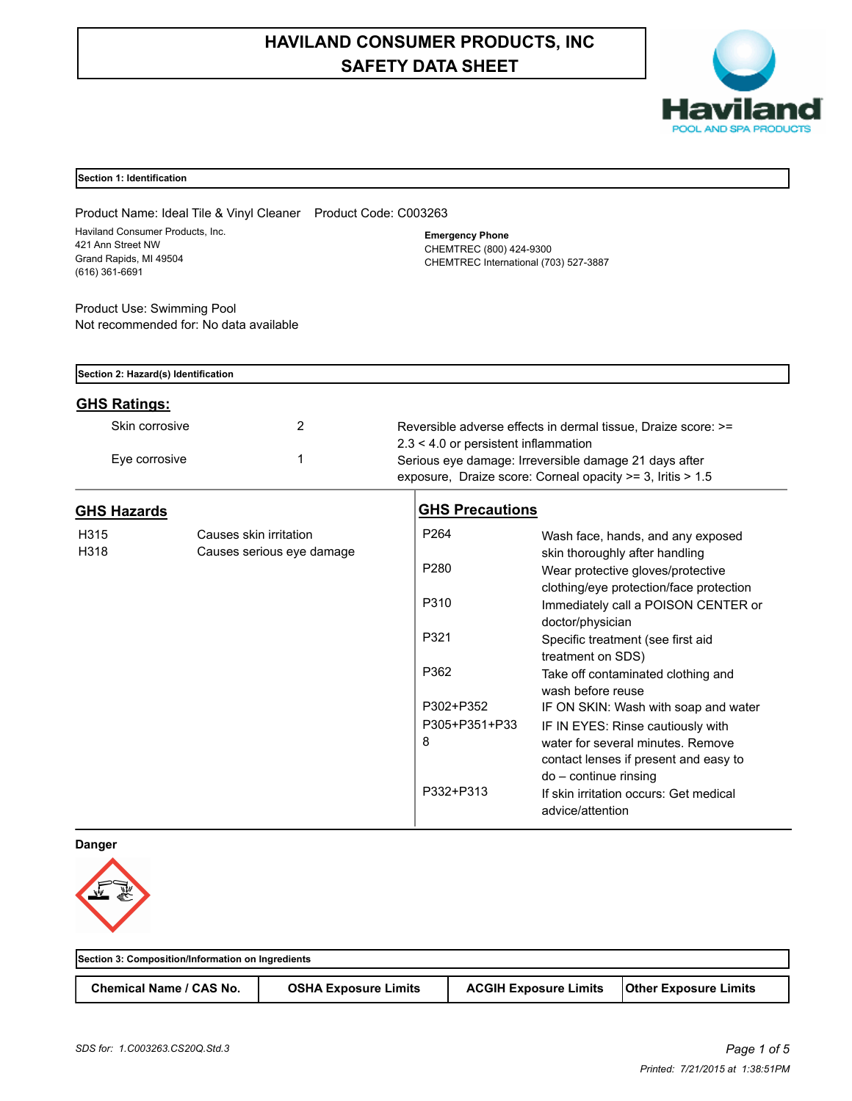# **HAVILAND CONSUMER PRODUCTS, INC SAFETY DATA SHEET**



# **Section 1: Identification**

Product Name: Ideal Tile & Vinyl Cleaner Product Code: C003263 Haviland Consumer Products, Inc. 421 Ann Street NW Grand Rapids, MI 49504 (616) 361-6691

**Emergency Phone** CHEMTREC (800) 424-9300 CHEMTREC International (703) 527-3887

Product Use: Swimming Pool Not recommended for: No data available

| Section 2: Hazard(s) Identification |                           |                                                       |                                                               |  |
|-------------------------------------|---------------------------|-------------------------------------------------------|---------------------------------------------------------------|--|
| <b>GHS Ratings:</b>                 |                           |                                                       |                                                               |  |
| Skin corrosive                      |                           |                                                       | Reversible adverse effects in dermal tissue. Draize score: >= |  |
|                                     |                           |                                                       | $2.3 < 4.0$ or persistent inflammation                        |  |
| Eye corrosive                       |                           | Serious eve damage: Irreversible damage 21 days after |                                                               |  |
|                                     |                           |                                                       | exposure, Draize score: Corneal opacity >= 3, Iritis > 1.5    |  |
| <b>GHS Hazards</b>                  |                           | <b>GHS Precautions</b>                                |                                                               |  |
| H315                                | Causes skin irritation    | P <sub>264</sub>                                      | Wash face, hands, and any exposed                             |  |
| H318                                | Causes serious eye damage |                                                       | skin thoroughly after handling                                |  |
|                                     |                           | P <sub>280</sub>                                      | Wear protective gloves/protective                             |  |
|                                     |                           |                                                       | clothing/eye protection/face protection                       |  |

|               | <u>VVEAL DIULECTIVE QIOVES/DIULECTIVE</u><br>clothing/eye protection/face protection                |
|---------------|-----------------------------------------------------------------------------------------------------|
| P310          | Immediately call a POISON CENTER or<br>doctor/physician                                             |
| P321          | Specific treatment (see first aid<br>treatment on SDS)                                              |
| P362          | Take off contaminated clothing and<br>wash before reuse                                             |
| P302+P352     | IF ON SKIN: Wash with soap and water                                                                |
| P305+P351+P33 | IF IN EYES: Rinse cautiously with                                                                   |
| 8             | water for several minutes. Remove<br>contact lenses if present and easy to<br>do - continue rinsing |
| P332+P313     | If skin irritation occurs: Get medical<br>advice/attention                                          |

**Danger**



| Section 3: Composition/Information on Ingredients |                             |                              |                              |
|---------------------------------------------------|-----------------------------|------------------------------|------------------------------|
| <b>Chemical Name / CAS No.</b>                    | <b>OSHA Exposure Limits</b> | <b>ACGIH Exposure Limits</b> | <b>Other Exposure Limits</b> |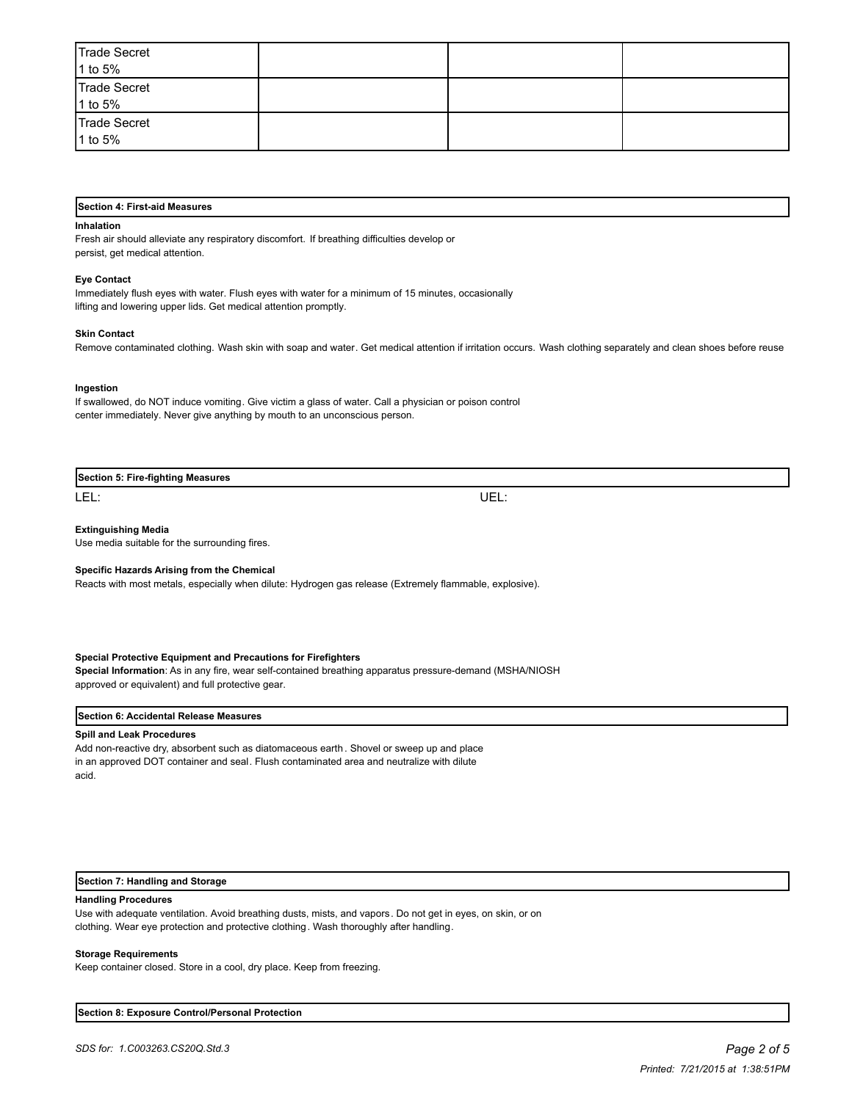| Trade Secret<br>1 to 5% |  |  |
|-------------------------|--|--|
| Trade Secret<br>1 to 5% |  |  |
| Trade Secret<br>1 to 5% |  |  |

# **Section 4: First-aid Measures**

#### **Inhalation**

Fresh air should alleviate any respiratory discomfort. If breathing difficulties develop or persist, get medical attention.

## **Eye Contact**

Immediately flush eyes with water. Flush eyes with water for a minimum of 15 minutes, occasionally lifting and lowering upper lids. Get medical attention promptly.

## **Skin Contact**

Remove contaminated clothing. Wash skin with soap and water. Get medical attention if irritation occurs. Wash clothing separately and clean shoes before reuse

## **Ingestion**

If swallowed, do NOT induce vomiting. Give victim a glass of water. Call a physician or poison control center immediately. Never give anything by mouth to an unconscious person.

| <b>Section 5: Fire-fighting Measures</b> |  |  |
|------------------------------------------|--|--|
|                                          |  |  |

LEL: UEL:

## **Extinguishing Media**

Use media suitable for the surrounding fires.

## **Specific Hazards Arising from the Chemical**

Reacts with most metals, especially when dilute: Hydrogen gas release (Extremely flammable, explosive).

## **Special Protective Equipment and Precautions for Firefighters**

**Special Information**: As in any fire, wear self-contained breathing apparatus pressure-demand (MSHA/NIOSH approved or equivalent) and full protective gear.

#### **Section 6: Accidental Release Measures**

## **Spill and Leak Procedures**

Add non-reactive dry, absorbent such as diatomaceous earth . Shovel or sweep up and place in an approved DOT container and seal. Flush contaminated area and neutralize with dilute acid.

## **Section 7: Handling and Storage**

#### **Handling Procedures**

Use with adequate ventilation. Avoid breathing dusts, mists, and vapors. Do not get in eyes, on skin, or on clothing. Wear eye protection and protective clothing. Wash thoroughly after handling.

## **Storage Requirements**

Keep container closed. Store in a cool, dry place. Keep from freezing.

**Section 8: Exposure Control/Personal Protection**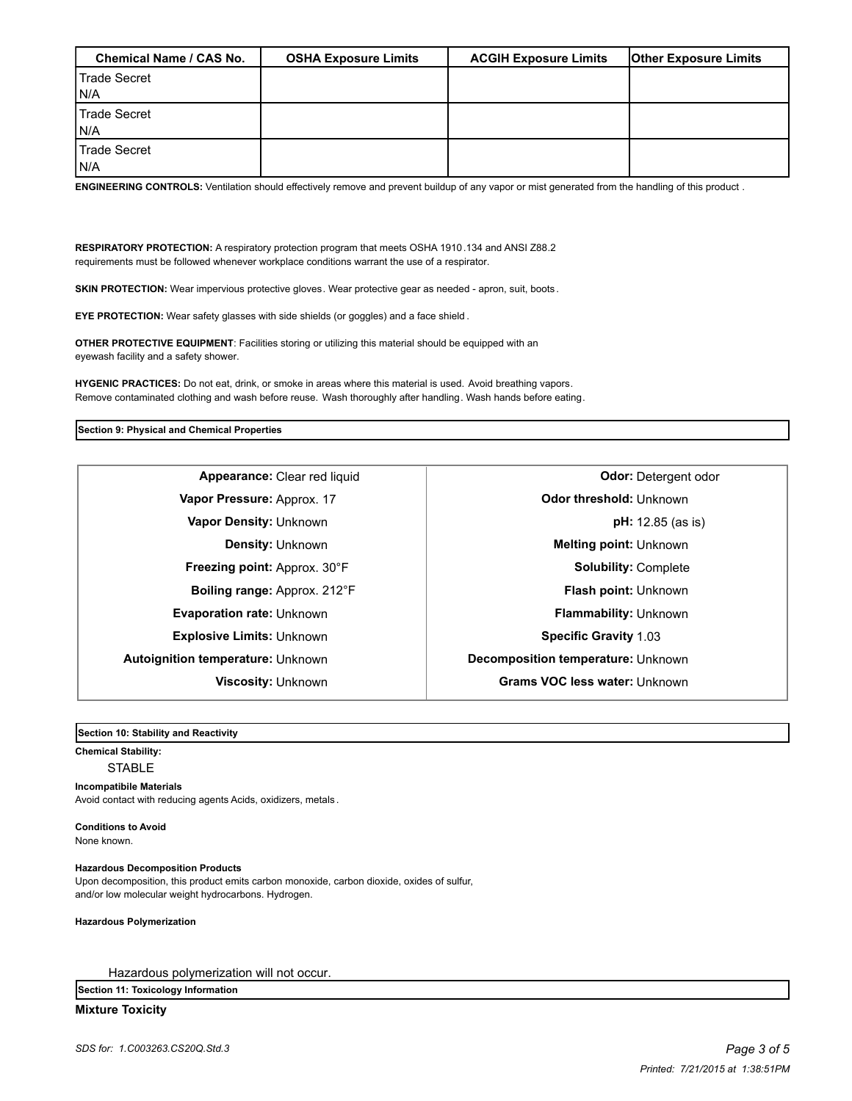| Chemical Name / CAS No. | <b>OSHA Exposure Limits</b> | <b>ACGIH Exposure Limits</b> | <b>Other Exposure Limits</b> |
|-------------------------|-----------------------------|------------------------------|------------------------------|
| l Trade Secret          |                             |                              |                              |
| IN/A                    |                             |                              |                              |
| <b>Trade Secret</b>     |                             |                              |                              |
| IN/A                    |                             |                              |                              |
| Trade Secret            |                             |                              |                              |
| IN/A                    |                             |                              |                              |

**ENGINEERING CONTROLS:** Ventilation should effectively remove and prevent buildup of any vapor or mist generated from the handling of this product .

**RESPIRATORY PROTECTION:** A respiratory protection program that meets OSHA 1910.134 and ANSI Z88.2 requirements must be followed whenever workplace conditions warrant the use of a respirator.

**SKIN PROTECTION:** Wear impervious protective gloves. Wear protective gear as needed - apron, suit, boots.

**EYE PROTECTION:** Wear safety glasses with side shields (or goggles) and a face shield .

**OTHER PROTECTIVE EQUIPMENT**: Facilities storing or utilizing this material should be equipped with an eyewash facility and a safety shower.

**HYGENIC PRACTICES:** Do not eat, drink, or smoke in areas where this material is used. Avoid breathing vapors. Remove contaminated clothing and wash before reuse. Wash thoroughly after handling. Wash hands before eating.

## **Section 9: Physical and Chemical Properties**

**Explosive Limits: Unknown <b>Specific Gravity** 1.03 **Autoignition temperature:** Unknown **Decomposition temperature:** Unknown

**Appearance:** Clear red liquid **Clear Clear of Clear Appearance:** Clear red liquid **Clear Clear Appearance:** Odor: Detergent odor **Vapor Pressure:** Approx. 17 **Odor threshold:** Unknown **Vapor Density:** Unknown **pH:** 12.85 (as is) **Density:** Unknown **Melting point: Unknown Freezing point:** Approx. 30°F <br> **Solubility:** Complete **Boiling range:** Approx. 212°F **Flash point:** Unknown **Evaporation rate:** Unknown **Flammability:** Unknown **Viscosity:** Unknown **Grams VOC less water:** Unknown

**Section 10: Stability and Reactivity** 

# **Chemical Stability:**

# **STABLE**

# **Incompatibile Materials**

Avoid contact with reducing agents Acids, oxidizers, metals .

**Conditions to Avoid** None known.

## **Hazardous Decomposition Products**

Upon decomposition, this product emits carbon monoxide, carbon dioxide, oxides of sulfur, and/or low molecular weight hydrocarbons. Hydrogen.

## **Hazardous Polymerization**

Hazardous polymerization will not occur.

**Section 11: Toxicology Information**

# **Mixture Toxicity**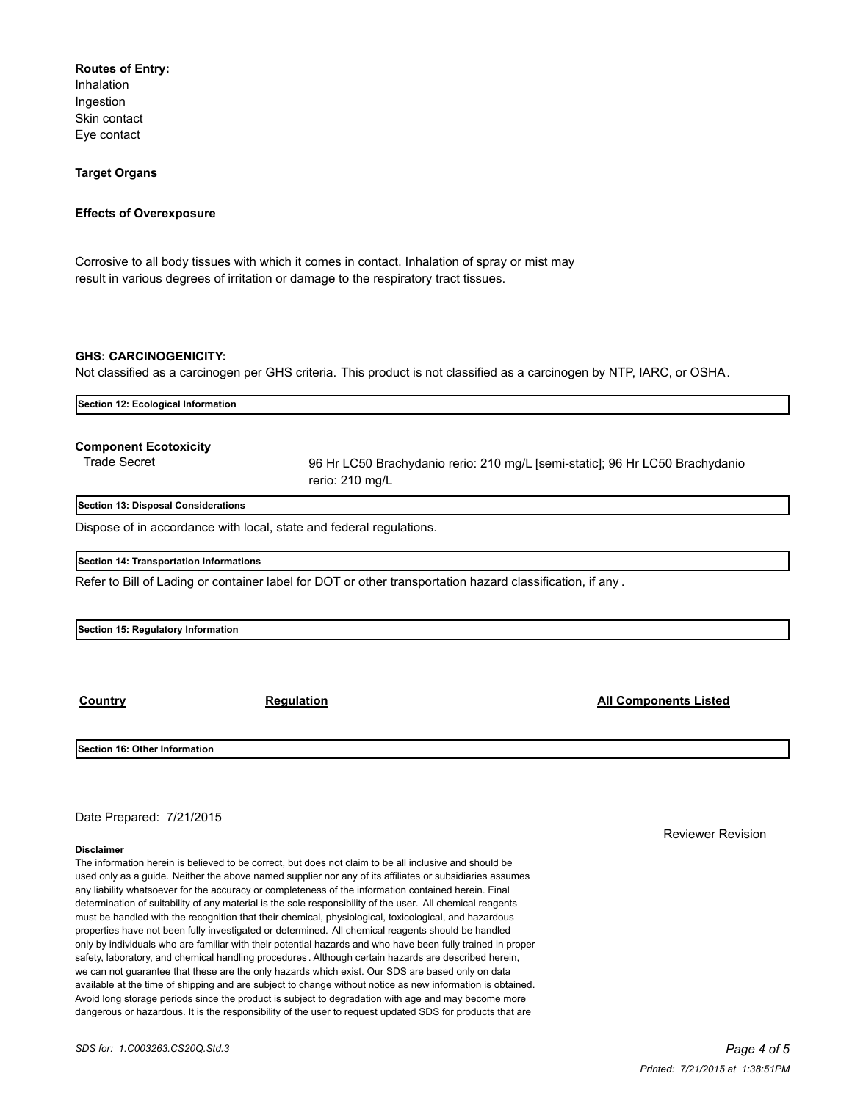# **Routes of Entry:**

Inhalation Ingestion Skin contact Eye contact

# **Target Organs**

# **Effects of Overexposure**

Corrosive to all body tissues with which it comes in contact. Inhalation of spray or mist may result in various degrees of irritation or damage to the respiratory tract tissues.

# **GHS: CARCINOGENICITY:**

Not classified as a carcinogen per GHS criteria. This product is not classified as a carcinogen by NTP, IARC, or OSHA.

| Section 12: Ecological Information                  |                                                                                                           |  |  |
|-----------------------------------------------------|-----------------------------------------------------------------------------------------------------------|--|--|
| <b>Component Ecotoxicity</b><br><b>Trade Secret</b> | 96 Hr LC50 Brachydanio rerio: 210 mg/L [semi-static]; 96 Hr LC50 Brachydanio<br>rerio: 210 mg/L           |  |  |
| Section 13: Disposal Considerations                 |                                                                                                           |  |  |
|                                                     | Dispose of in accordance with local, state and federal regulations.                                       |  |  |
| Section 14: Transportation Informations             |                                                                                                           |  |  |
|                                                     | Refer to Bill of Lading or container label for DOT or other transportation hazard classification, if any. |  |  |
|                                                     |                                                                                                           |  |  |
| Section 15: Regulatory Information                  |                                                                                                           |  |  |
|                                                     |                                                                                                           |  |  |
|                                                     |                                                                                                           |  |  |

**Country Regulation All Components Listed**

**Section 16: Other Information**

Date Prepared: 7/21/2015

## **Disclaimer**

The information herein is believed to be correct, but does not claim to be all inclusive and should be used only as a guide. Neither the above named supplier nor any of its affiliates or subsidiaries assumes any liability whatsoever for the accuracy or completeness of the information contained herein. Final determination of suitability of any material is the sole responsibility of the user. All chemical reagents must be handled with the recognition that their chemical, physiological, toxicological, and hazardous properties have not been fully investigated or determined. All chemical reagents should be handled only by individuals who are familiar with their potential hazards and who have been fully trained in proper safety, laboratory, and chemical handling procedures . Although certain hazards are described herein, we can not guarantee that these are the only hazards which exist. Our SDS are based only on data available at the time of shipping and are subject to change without notice as new information is obtained. Avoid long storage periods since the product is subject to degradation with age and may become more dangerous or hazardous. It is the responsibility of the user to request updated SDS for products that are

Reviewer Revision